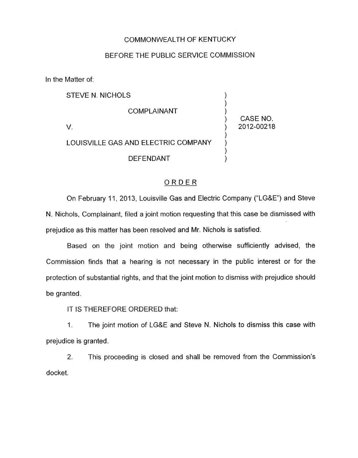## COMMONWEALTH OF KENTUCKY

## BEFORE THE PUBLIC SERVICE COMMISSION

In the Matter of:

| STEVE N. NICHOLS                    |            |
|-------------------------------------|------------|
| COMPLAINANT                         | CASE NO.   |
|                                     | 2012-00218 |
| LOUISVILLE GAS AND ELECTRIC COMPANY |            |
| <b>DEFENDANT</b>                    |            |

## ORDER

On February 11, 2013, Louisville Gas and Electric Company ("LG&E") and Steve N. Nichols, Complainant, filed a joint motion requesting that this case be dismissed with prejudice as this matter has been resolved and Mr. Nichols is satisfied.

Based on the joint motion and being otherwise sufficiently advised, the Commission finds that a hearing is not necessary in the public interest or for the protection of substantial rights, and that the joint motion to dismiss with prejudice should be granted.

IT IS THEREFORE ORDERED that:

1. The joint motion of LG&E and Steve N. Nichols to dismiss this case with prejudice is granted.

2. This proceeding is closed and shall be removed from the Commission's docket.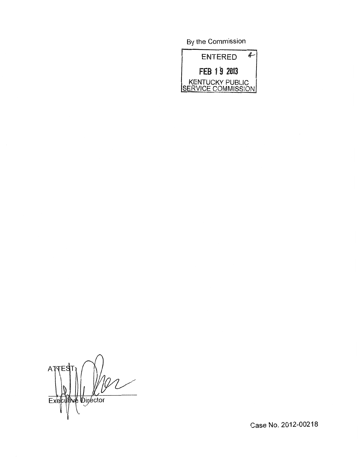By the Commission



Α Executive Director

Case No. 2012-00218